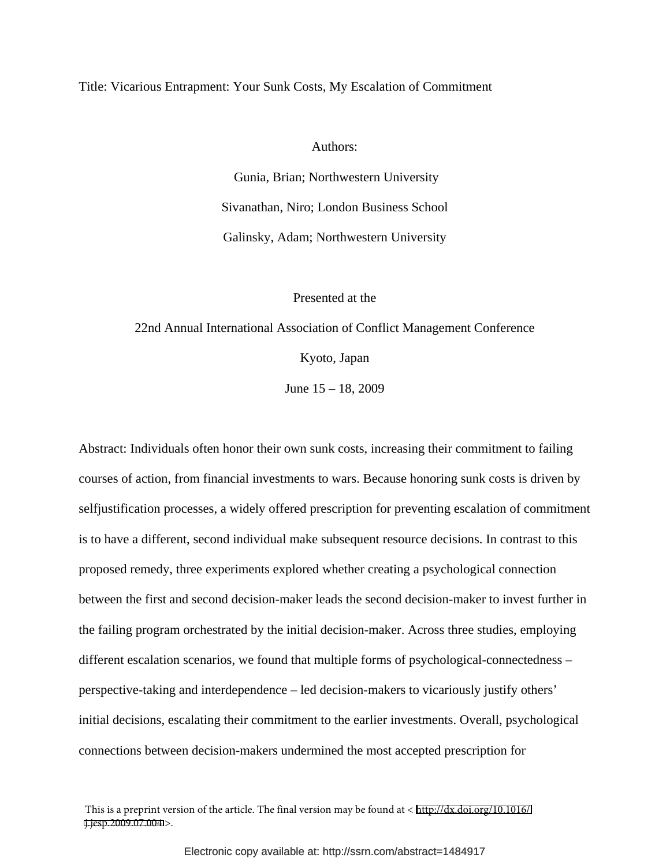### Title: Vicarious Entrapment: Your Sunk Costs, My Escalation of Commitment

## Authors:

 Gunia, Brian; Northwestern University Sivanathan, Niro; London Business School Galinsky, Adam; Northwestern University

Presented at the

# 22nd Annual International Association of Conflict Management Conference Kyoto, Japan

June 15 – 18, 2009

Abstract: Individuals often honor their own sunk costs, increasing their commitment to failing courses of action, from financial investments to wars. Because honoring sunk costs is driven by selfjustification processes, a widely offered prescription for preventing escalation of commitment is to have a different, second individual make subsequent resource decisions. In contrast to this proposed remedy, three experiments explored whether creating a psychological connection between the first and second decision-maker leads the second decision-maker to invest further in the failing program orchestrated by the initial decision-maker. Across three studies, employing different escalation scenarios, we found that multiple forms of psychological-connectedness – perspective-taking and interdependence – led decision-makers to vicariously justify others' initial decisions, escalating their commitment to the earlier investments. Overall, psychological connections between decision-makers undermined the most accepted prescription for

This is a preprint version of the article. The final version may be found at < [http://dx.doi.org/10.1016/](http://dx.doi.org/10.1016/j.jesp.2009.07.004)  $i.$ jesp.2009.07.004 >.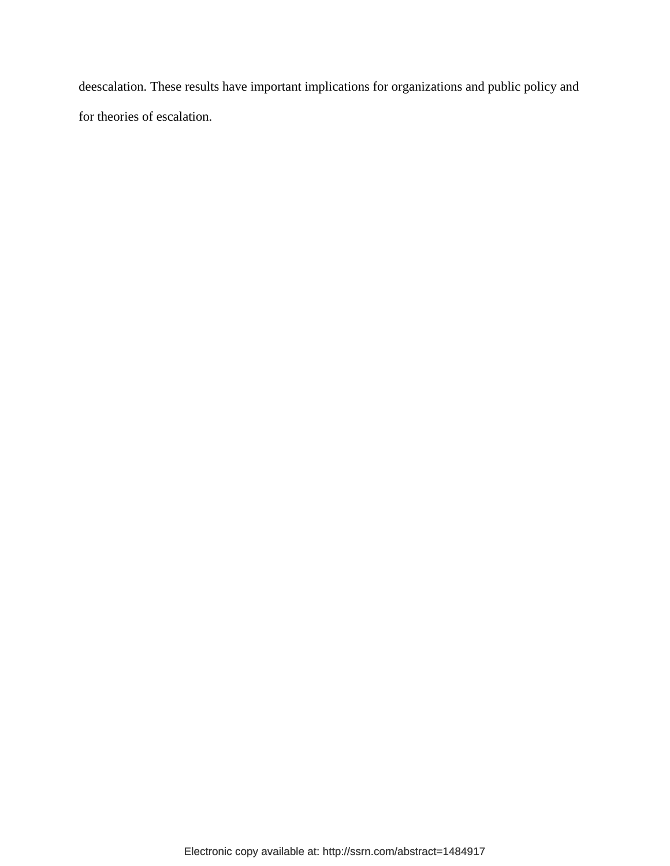deescalation. These results have important implications for organizations and public policy and for theories of escalation.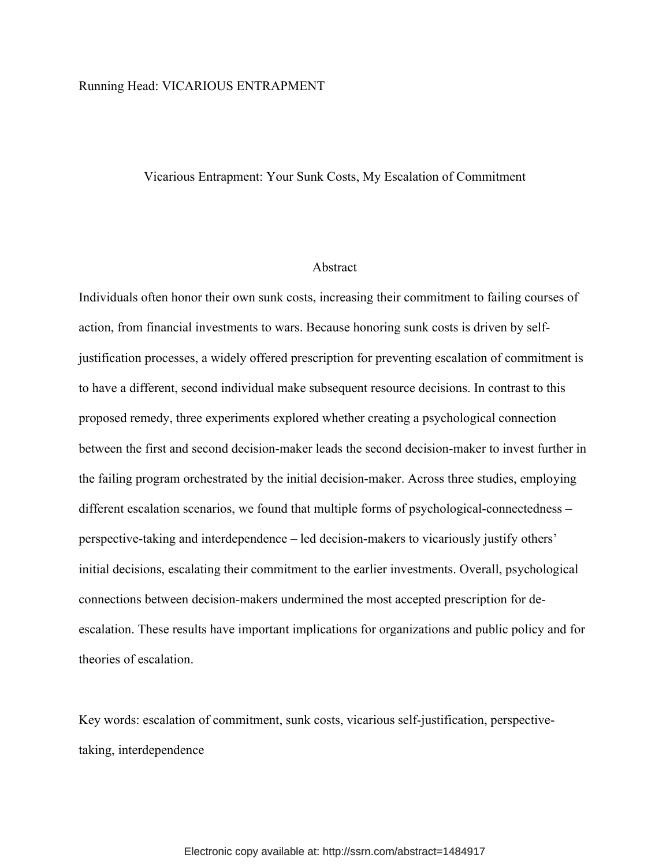## Running Head: VICARIOUS ENTRAPMENT

## Vicarious Entrapment: Your Sunk Costs, My Escalation of Commitment

#### Abstract

Individuals often honor their own sunk costs, increasing their commitment to failing courses of action, from financial investments to wars. Because honoring sunk costs is driven by selfjustification processes, a widely offered prescription for preventing escalation of commitment is to have a different, second individual make subsequent resource decisions. In contrast to this proposed remedy, three experiments explored whether creating a psychological connection between the first and second decision-maker leads the second decision-maker to invest further in the failing program orchestrated by the initial decision-maker. Across three studies, employing different escalation scenarios, we found that multiple forms of psychological-connectedness – perspective-taking and interdependence – led decision-makers to vicariously justify others' initial decisions, escalating their commitment to the earlier investments. Overall, psychological connections between decision-makers undermined the most accepted prescription for deescalation. These results have important implications for organizations and public policy and for theories of escalation.

Key words: escalation of commitment, sunk costs, vicarious self-justification, perspectivetaking, interdependence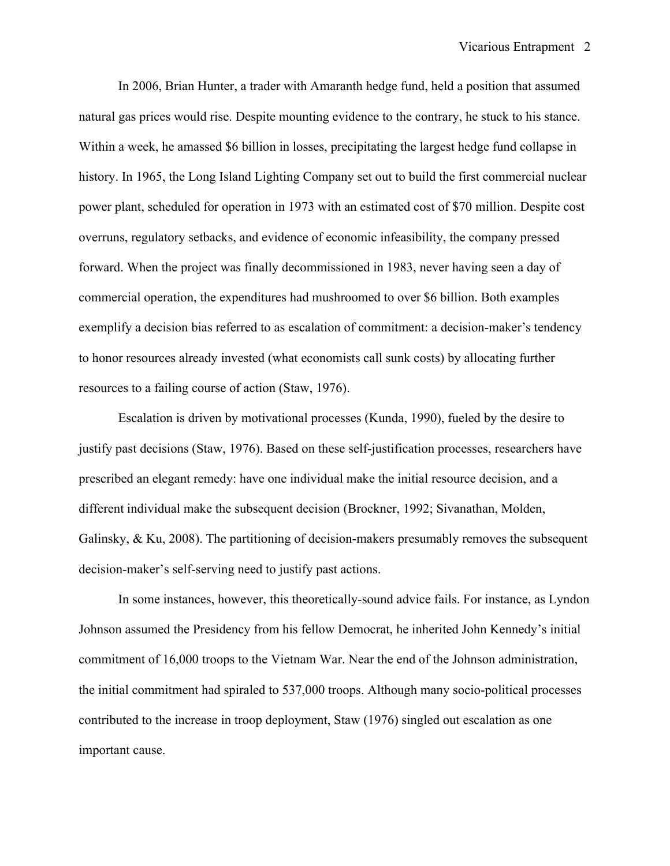In 2006, Brian Hunter, a trader with Amaranth hedge fund, held a position that assumed natural gas prices would rise. Despite mounting evidence to the contrary, he stuck to his stance. Within a week, he amassed \$6 billion in losses, precipitating the largest hedge fund collapse in history. In 1965, the Long Island Lighting Company set out to build the first commercial nuclear power plant, scheduled for operation in 1973 with an estimated cost of \$70 million. Despite cost overruns, regulatory setbacks, and evidence of economic infeasibility, the company pressed forward. When the project was finally decommissioned in 1983, never having seen a day of commercial operation, the expenditures had mushroomed to over \$6 billion. Both examples exemplify a decision bias referred to as escalation of commitment: a decision-maker's tendency to honor resources already invested (what economists call sunk costs) by allocating further resources to a failing course of action (Staw, 1976).

Escalation is driven by motivational processes (Kunda, 1990), fueled by the desire to justify past decisions (Staw, 1976). Based on these self-justification processes, researchers have prescribed an elegant remedy: have one individual make the initial resource decision, and a different individual make the subsequent decision (Brockner, 1992; Sivanathan, Molden, Galinsky, & Ku, 2008). The partitioning of decision-makers presumably removes the subsequent decision-maker's self-serving need to justify past actions.

In some instances, however, this theoretically-sound advice fails. For instance, as Lyndon Johnson assumed the Presidency from his fellow Democrat, he inherited John Kennedy's initial commitment of 16,000 troops to the Vietnam War. Near the end of the Johnson administration, the initial commitment had spiraled to 537,000 troops. Although many socio-political processes contributed to the increase in troop deployment, Staw (1976) singled out escalation as one important cause.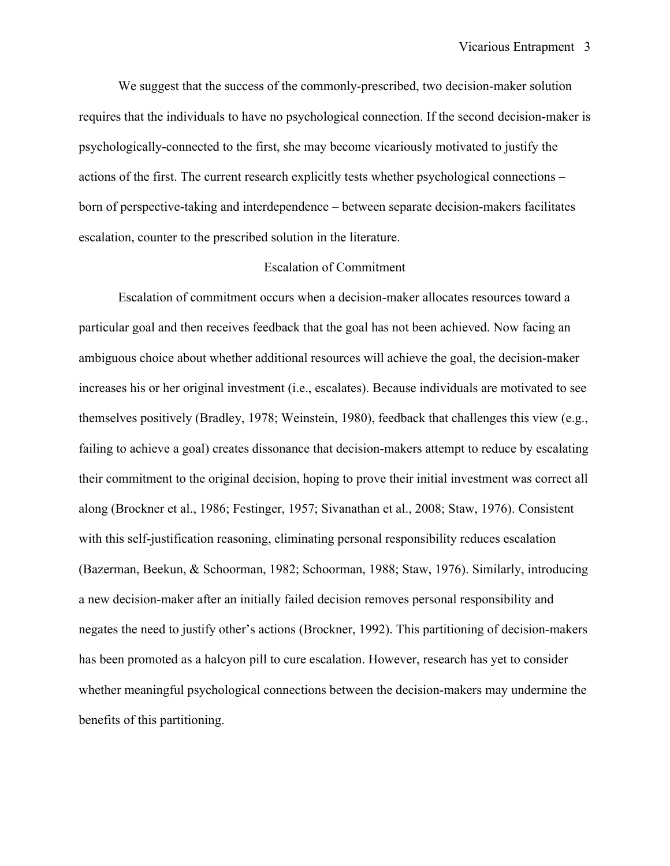We suggest that the success of the commonly-prescribed, two decision-maker solution requires that the individuals to have no psychological connection. If the second decision-maker is psychologically-connected to the first, she may become vicariously motivated to justify the actions of the first. The current research explicitly tests whether psychological connections – born of perspective-taking and interdependence – between separate decision-makers facilitates escalation, counter to the prescribed solution in the literature.

# Escalation of Commitment

Escalation of commitment occurs when a decision-maker allocates resources toward a particular goal and then receives feedback that the goal has not been achieved. Now facing an ambiguous choice about whether additional resources will achieve the goal, the decision-maker increases his or her original investment (i.e., escalates). Because individuals are motivated to see themselves positively (Bradley, 1978; Weinstein, 1980), feedback that challenges this view (e.g., failing to achieve a goal) creates dissonance that decision-makers attempt to reduce by escalating their commitment to the original decision, hoping to prove their initial investment was correct all along (Brockner et al., 1986; Festinger, 1957; Sivanathan et al., 2008; Staw, 1976). Consistent with this self-justification reasoning, eliminating personal responsibility reduces escalation (Bazerman, Beekun, & Schoorman, 1982; Schoorman, 1988; Staw, 1976). Similarly, introducing a new decision-maker after an initially failed decision removes personal responsibility and negates the need to justify other's actions (Brockner, 1992). This partitioning of decision-makers has been promoted as a halcyon pill to cure escalation. However, research has yet to consider whether meaningful psychological connections between the decision-makers may undermine the benefits of this partitioning.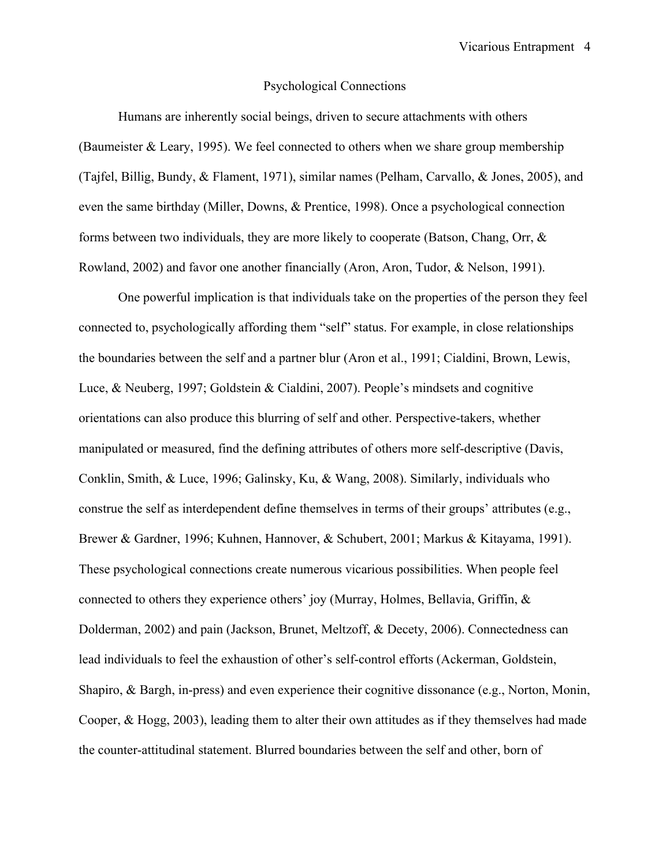#### Psychological Connections

Humans are inherently social beings, driven to secure attachments with others (Baumeister & Leary, 1995). We feel connected to others when we share group membership (Tajfel, Billig, Bundy, & Flament, 1971), similar names (Pelham, Carvallo, & Jones, 2005), and even the same birthday (Miller, Downs, & Prentice, 1998). Once a psychological connection forms between two individuals, they are more likely to cooperate (Batson, Chang, Orr, & Rowland, 2002) and favor one another financially (Aron, Aron, Tudor, & Nelson, 1991).

One powerful implication is that individuals take on the properties of the person they feel connected to, psychologically affording them "self" status. For example, in close relationships the boundaries between the self and a partner blur (Aron et al., 1991; Cialdini, Brown, Lewis, Luce, & Neuberg, 1997; Goldstein & Cialdini, 2007). People's mindsets and cognitive orientations can also produce this blurring of self and other. Perspective-takers, whether manipulated or measured, find the defining attributes of others more self-descriptive (Davis, Conklin, Smith, & Luce, 1996; Galinsky, Ku, & Wang, 2008). Similarly, individuals who construe the self as interdependent define themselves in terms of their groups' attributes (e.g., Brewer & Gardner, 1996; Kuhnen, Hannover, & Schubert, 2001; Markus & Kitayama, 1991). These psychological connections create numerous vicarious possibilities. When people feel connected to others they experience others' joy (Murray, Holmes, Bellavia, Griffin, & Dolderman, 2002) and pain (Jackson, Brunet, Meltzoff, & Decety, 2006). Connectedness can lead individuals to feel the exhaustion of other's self-control efforts (Ackerman, Goldstein, Shapiro, & Bargh, in-press) and even experience their cognitive dissonance (e.g., Norton, Monin, Cooper, & Hogg, 2003), leading them to alter their own attitudes as if they themselves had made the counter-attitudinal statement. Blurred boundaries between the self and other, born of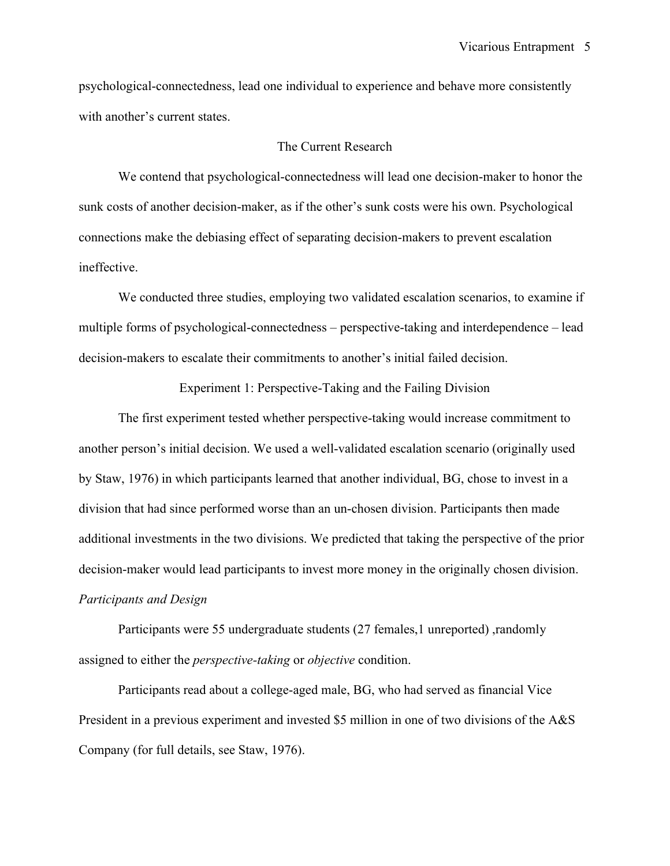psychological-connectedness, lead one individual to experience and behave more consistently with another's current states.

# The Current Research

We contend that psychological-connectedness will lead one decision-maker to honor the sunk costs of another decision-maker, as if the other's sunk costs were his own. Psychological connections make the debiasing effect of separating decision-makers to prevent escalation ineffective.

We conducted three studies, employing two validated escalation scenarios, to examine if multiple forms of psychological-connectedness – perspective-taking and interdependence – lead decision-makers to escalate their commitments to another's initial failed decision.

Experiment 1: Perspective-Taking and the Failing Division

The first experiment tested whether perspective-taking would increase commitment to another person's initial decision. We used a well-validated escalation scenario (originally used by Staw, 1976) in which participants learned that another individual, BG, chose to invest in a division that had since performed worse than an un-chosen division. Participants then made additional investments in the two divisions. We predicted that taking the perspective of the prior decision-maker would lead participants to invest more money in the originally chosen division. *Participants and Design*

Participants were 55 undergraduate students (27 females,1 unreported) ,randomly assigned to either the *perspective-taking* or *objective* condition.

Participants read about a college-aged male, BG, who had served as financial Vice President in a previous experiment and invested \$5 million in one of two divisions of the A&S Company (for full details, see Staw, 1976).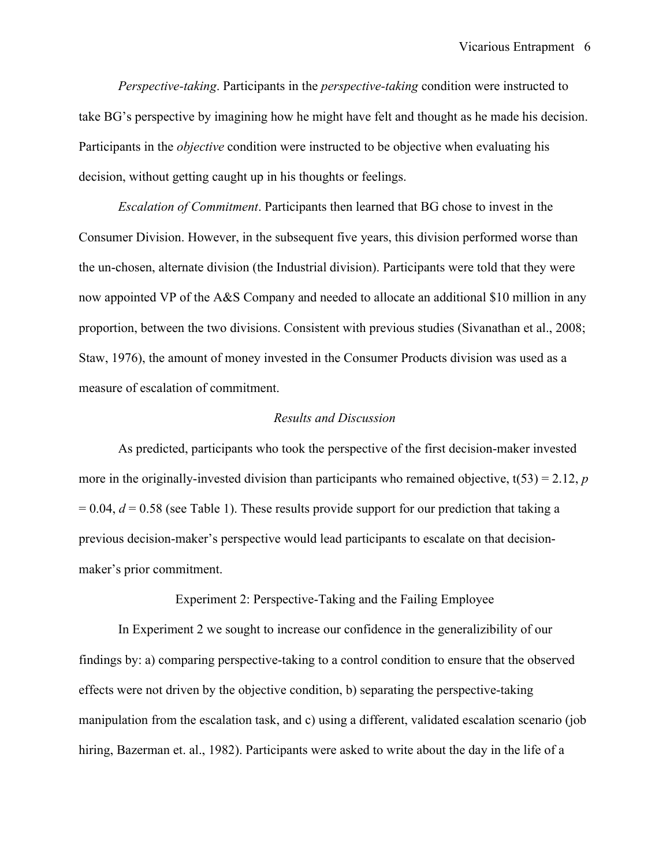*Perspective-taking*. Participants in the *perspective-taking* condition were instructed to take BG's perspective by imagining how he might have felt and thought as he made his decision. Participants in the *objective* condition were instructed to be objective when evaluating his decision, without getting caught up in his thoughts or feelings.

*Escalation of Commitment*. Participants then learned that BG chose to invest in the Consumer Division. However, in the subsequent five years, this division performed worse than the un-chosen, alternate division (the Industrial division). Participants were told that they were now appointed VP of the A&S Company and needed to allocate an additional \$10 million in any proportion, between the two divisions. Consistent with previous studies (Sivanathan et al., 2008; Staw, 1976), the amount of money invested in the Consumer Products division was used as a measure of escalation of commitment.

# *Results and Discussion*

As predicted, participants who took the perspective of the first decision-maker invested more in the originally-invested division than participants who remained objective, t(53) = 2.12, *p*  $= 0.04$ ,  $d = 0.58$  (see Table 1). These results provide support for our prediction that taking a previous decision-maker's perspective would lead participants to escalate on that decisionmaker's prior commitment.

Experiment 2: Perspective-Taking and the Failing Employee

In Experiment 2 we sought to increase our confidence in the generalizibility of our findings by: a) comparing perspective-taking to a control condition to ensure that the observed effects were not driven by the objective condition, b) separating the perspective-taking manipulation from the escalation task, and c) using a different, validated escalation scenario (job hiring, Bazerman et. al., 1982). Participants were asked to write about the day in the life of a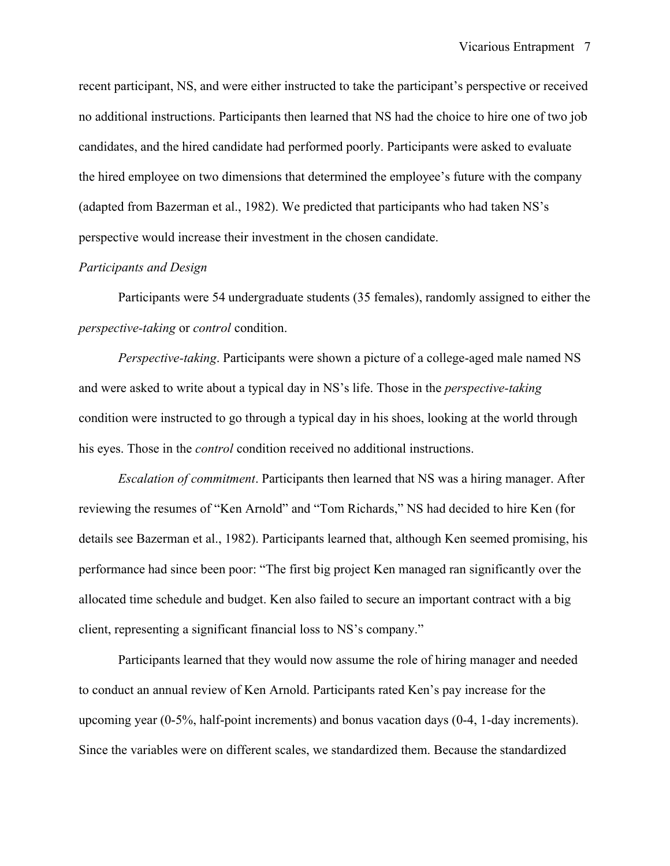recent participant, NS, and were either instructed to take the participant's perspective or received no additional instructions. Participants then learned that NS had the choice to hire one of two job candidates, and the hired candidate had performed poorly. Participants were asked to evaluate the hired employee on two dimensions that determined the employee's future with the company (adapted from Bazerman et al., 1982). We predicted that participants who had taken NS's perspective would increase their investment in the chosen candidate.

# *Participants and Design*

Participants were 54 undergraduate students (35 females), randomly assigned to either the *perspective-taking* or *control* condition.

*Perspective-taking*. Participants were shown a picture of a college-aged male named NS and were asked to write about a typical day in NS's life. Those in the *perspective-taking* condition were instructed to go through a typical day in his shoes, looking at the world through his eyes. Those in the *control* condition received no additional instructions.

*Escalation of commitment*. Participants then learned that NS was a hiring manager. After reviewing the resumes of "Ken Arnold" and "Tom Richards," NS had decided to hire Ken (for details see Bazerman et al., 1982). Participants learned that, although Ken seemed promising, his performance had since been poor: "The first big project Ken managed ran significantly over the allocated time schedule and budget. Ken also failed to secure an important contract with a big client, representing a significant financial loss to NS's company."

Participants learned that they would now assume the role of hiring manager and needed to conduct an annual review of Ken Arnold. Participants rated Ken's pay increase for the upcoming year (0-5%, half-point increments) and bonus vacation days (0-4, 1-day increments). Since the variables were on different scales, we standardized them. Because the standardized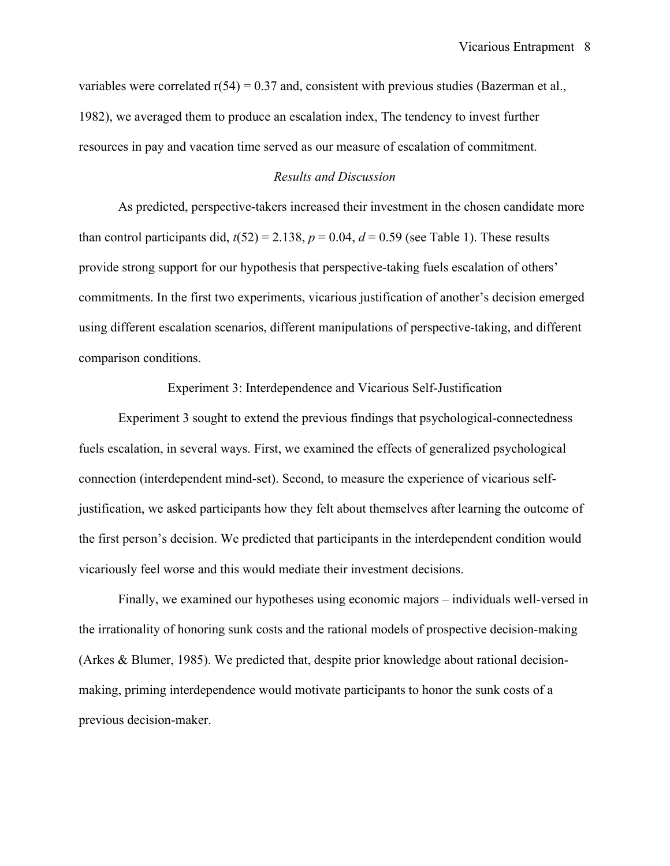variables were correlated  $r(54) = 0.37$  and, consistent with previous studies (Bazerman et al., 1982), we averaged them to produce an escalation index, The tendency to invest further resources in pay and vacation time served as our measure of escalation of commitment.

# *Results and Discussion*

As predicted, perspective-takers increased their investment in the chosen candidate more than control participants did,  $t(52) = 2.138$ ,  $p = 0.04$ ,  $d = 0.59$  (see Table 1). These results provide strong support for our hypothesis that perspective-taking fuels escalation of others' commitments. In the first two experiments, vicarious justification of another's decision emerged using different escalation scenarios, different manipulations of perspective-taking, and different comparison conditions.

# Experiment 3: Interdependence and Vicarious Self-Justification

Experiment 3 sought to extend the previous findings that psychological-connectedness fuels escalation, in several ways. First, we examined the effects of generalized psychological connection (interdependent mind-set). Second, to measure the experience of vicarious selfjustification, we asked participants how they felt about themselves after learning the outcome of the first person's decision. We predicted that participants in the interdependent condition would vicariously feel worse and this would mediate their investment decisions.

Finally, we examined our hypotheses using economic majors – individuals well-versed in the irrationality of honoring sunk costs and the rational models of prospective decision-making (Arkes & Blumer, 1985). We predicted that, despite prior knowledge about rational decisionmaking, priming interdependence would motivate participants to honor the sunk costs of a previous decision-maker.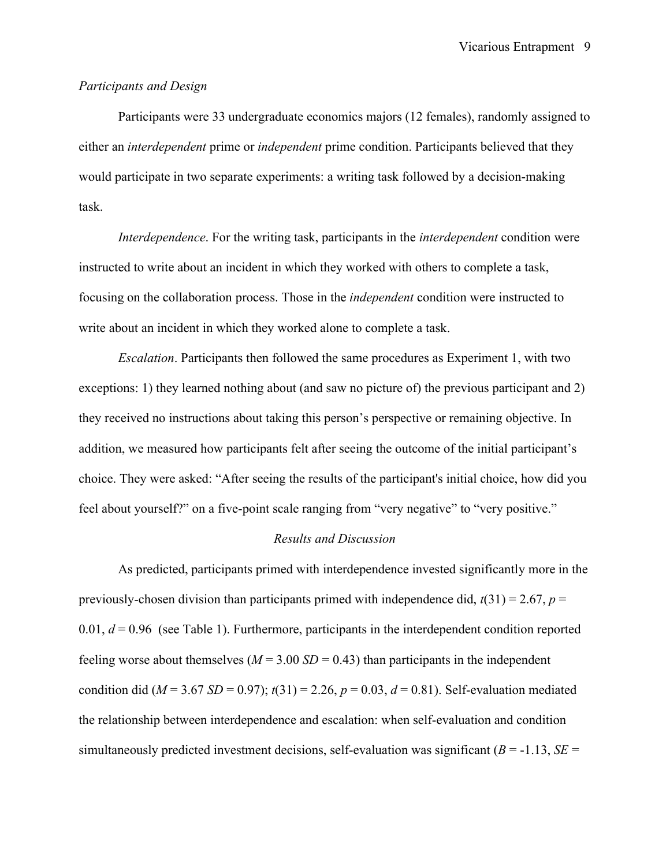# *Participants and Design*

Participants were 33 undergraduate economics majors (12 females), randomly assigned to either an *interdependent* prime or *independent* prime condition. Participants believed that they would participate in two separate experiments: a writing task followed by a decision-making task.

*Interdependence*. For the writing task, participants in the *interdependent* condition were instructed to write about an incident in which they worked with others to complete a task, focusing on the collaboration process. Those in the *independent* condition were instructed to write about an incident in which they worked alone to complete a task.

*Escalation*. Participants then followed the same procedures as Experiment 1, with two exceptions: 1) they learned nothing about (and saw no picture of) the previous participant and 2) they received no instructions about taking this person's perspective or remaining objective. In addition, we measured how participants felt after seeing the outcome of the initial participant's choice. They were asked: "After seeing the results of the participant's initial choice, how did you feel about yourself?" on a five-point scale ranging from "very negative" to "very positive."

## *Results and Discussion*

As predicted, participants primed with interdependence invested significantly more in the previously-chosen division than participants primed with independence did,  $t(31) = 2.67$ ,  $p =$  $0.01, d = 0.96$  (see Table 1). Furthermore, participants in the interdependent condition reported feeling worse about themselves  $(M = 3.00 \text{ SD} = 0.43)$  than participants in the independent condition did ( $M = 3.67$  *SD* = 0.97);  $t(31) = 2.26$ ,  $p = 0.03$ ,  $d = 0.81$ ). Self-evaluation mediated the relationship between interdependence and escalation: when self-evaluation and condition simultaneously predicted investment decisions, self-evaluation was significant  $(B = -1.13, SE =$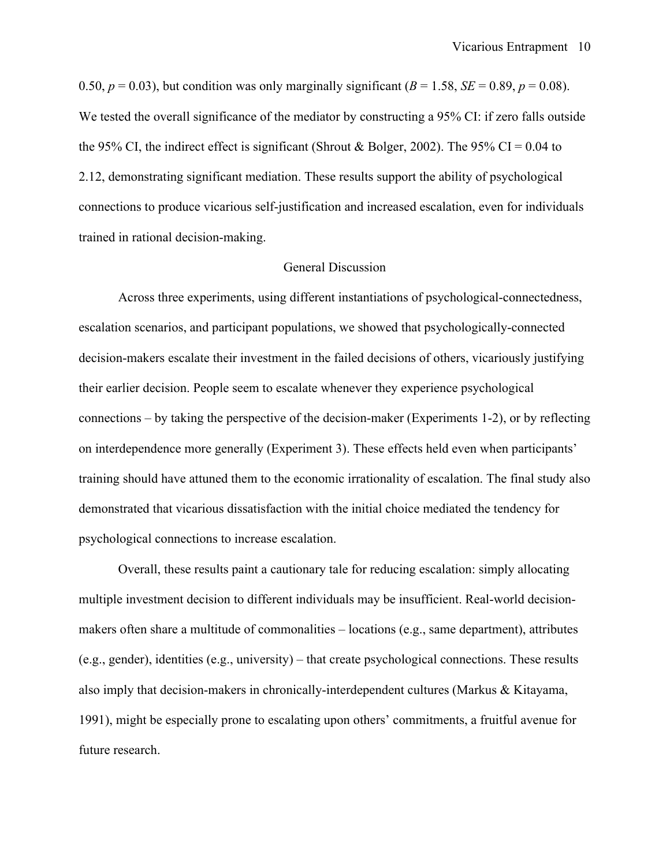0.50,  $p = 0.03$ ), but condition was only marginally significant ( $B = 1.58$ ,  $SE = 0.89$ ,  $p = 0.08$ ). We tested the overall significance of the mediator by constructing a 95% CI: if zero falls outside the 95% CI, the indirect effect is significant (Shrout & Bolger, 2002). The 95% CI = 0.04 to 2.12, demonstrating significant mediation. These results support the ability of psychological connections to produce vicarious self-justification and increased escalation, even for individuals trained in rational decision-making.

### General Discussion

Across three experiments, using different instantiations of psychological-connectedness, escalation scenarios, and participant populations, we showed that psychologically-connected decision-makers escalate their investment in the failed decisions of others, vicariously justifying their earlier decision. People seem to escalate whenever they experience psychological connections – by taking the perspective of the decision-maker (Experiments 1-2), or by reflecting on interdependence more generally (Experiment 3). These effects held even when participants' training should have attuned them to the economic irrationality of escalation. The final study also demonstrated that vicarious dissatisfaction with the initial choice mediated the tendency for psychological connections to increase escalation.

Overall, these results paint a cautionary tale for reducing escalation: simply allocating multiple investment decision to different individuals may be insufficient. Real-world decisionmakers often share a multitude of commonalities – locations (e.g., same department), attributes (e.g., gender), identities (e.g., university) – that create psychological connections. These results also imply that decision-makers in chronically-interdependent cultures (Markus & Kitayama, 1991), might be especially prone to escalating upon others' commitments, a fruitful avenue for future research.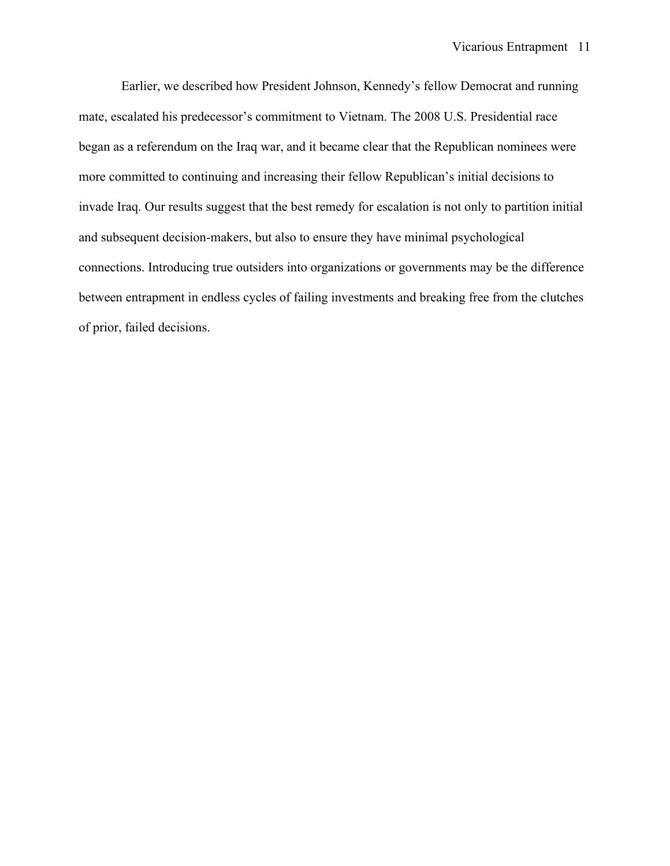Earlier, we described how President Johnson, Kennedy's fellow Democrat and running mate, escalated his predecessor's commitment to Vietnam. The 2008 U.S. Presidential race began as a referendum on the Iraq war, and it became clear that the Republican nominees were more committed to continuing and increasing their fellow Republican's initial decisions to invade Iraq. Our results suggest that the best remedy for escalation is not only to partition initial and subsequent decision-makers, but also to ensure they have minimal psychological connections. Introducing true outsiders into organizations or governments may be the difference between entrapment in endless cycles of failing investments and breaking free from the clutches of prior, failed decisions.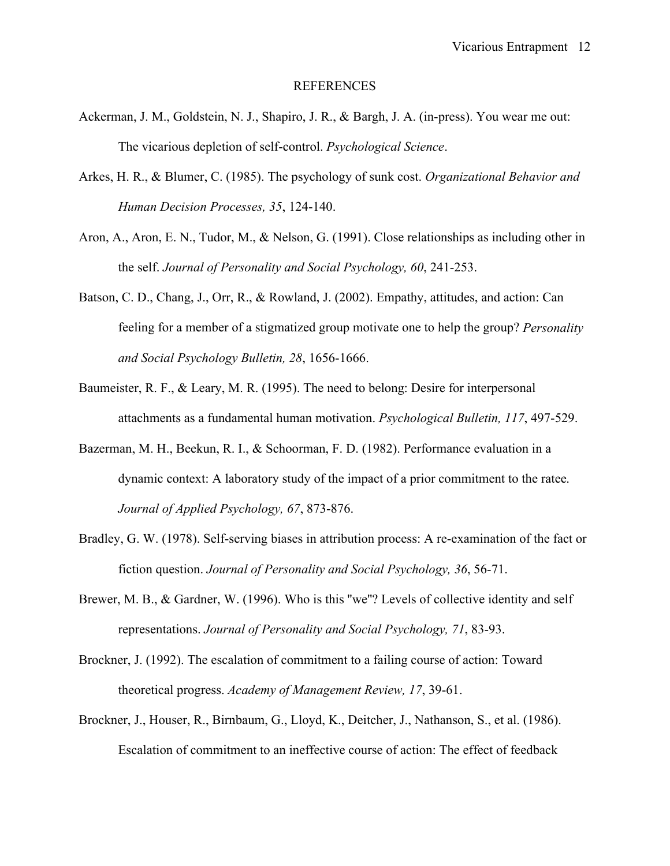#### REFERENCES

- Ackerman, J. M., Goldstein, N. J., Shapiro, J. R., & Bargh, J. A. (in-press). You wear me out: The vicarious depletion of self-control. *Psychological Science*.
- Arkes, H. R., & Blumer, C. (1985). The psychology of sunk cost. *Organizational Behavior and Human Decision Processes, 35*, 124-140.
- Aron, A., Aron, E. N., Tudor, M., & Nelson, G. (1991). Close relationships as including other in the self. *Journal of Personality and Social Psychology, 60*, 241-253.
- Batson, C. D., Chang, J., Orr, R., & Rowland, J. (2002). Empathy, attitudes, and action: Can feeling for a member of a stigmatized group motivate one to help the group? *Personality and Social Psychology Bulletin, 28*, 1656-1666.
- Baumeister, R. F., & Leary, M. R. (1995). The need to belong: Desire for interpersonal attachments as a fundamental human motivation. *Psychological Bulletin, 117*, 497-529.
- Bazerman, M. H., Beekun, R. I., & Schoorman, F. D. (1982). Performance evaluation in a dynamic context: A laboratory study of the impact of a prior commitment to the ratee. *Journal of Applied Psychology, 67*, 873-876.
- Bradley, G. W. (1978). Self-serving biases in attribution process: A re-examination of the fact or fiction question. *Journal of Personality and Social Psychology, 36*, 56-71.
- Brewer, M. B., & Gardner, W. (1996). Who is this "we"? Levels of collective identity and self representations. *Journal of Personality and Social Psychology, 71*, 83-93.
- Brockner, J. (1992). The escalation of commitment to a failing course of action: Toward theoretical progress. *Academy of Management Review, 17*, 39-61.
- Brockner, J., Houser, R., Birnbaum, G., Lloyd, K., Deitcher, J., Nathanson, S., et al. (1986). Escalation of commitment to an ineffective course of action: The effect of feedback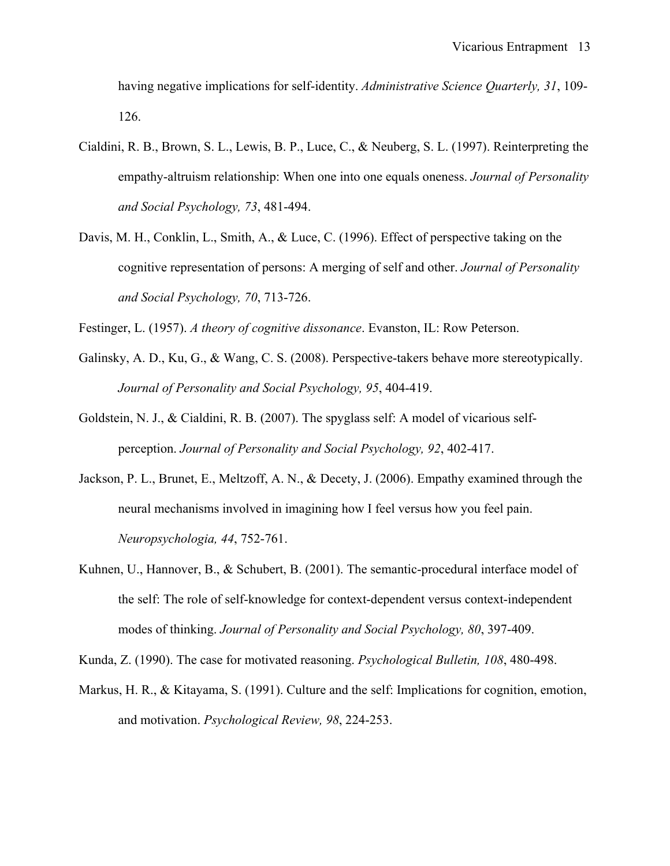having negative implications for self-identity. *Administrative Science Quarterly, 31*, 109- 126.

- Cialdini, R. B., Brown, S. L., Lewis, B. P., Luce, C., & Neuberg, S. L. (1997). Reinterpreting the empathy-altruism relationship: When one into one equals oneness. *Journal of Personality and Social Psychology, 73*, 481-494.
- Davis, M. H., Conklin, L., Smith, A., & Luce, C. (1996). Effect of perspective taking on the cognitive representation of persons: A merging of self and other. *Journal of Personality and Social Psychology, 70*, 713-726.
- Festinger, L. (1957). *A theory of cognitive dissonance*. Evanston, IL: Row Peterson.
- Galinsky, A. D., Ku, G., & Wang, C. S. (2008). Perspective-takers behave more stereotypically. *Journal of Personality and Social Psychology, 95*, 404-419.
- Goldstein, N. J., & Cialdini, R. B. (2007). The spyglass self: A model of vicarious selfperception. *Journal of Personality and Social Psychology, 92*, 402-417.
- Jackson, P. L., Brunet, E., Meltzoff, A. N., & Decety, J. (2006). Empathy examined through the neural mechanisms involved in imagining how I feel versus how you feel pain. *Neuropsychologia, 44*, 752-761.
- Kuhnen, U., Hannover, B., & Schubert, B. (2001). The semantic-procedural interface model of the self: The role of self-knowledge for context-dependent versus context-independent modes of thinking. *Journal of Personality and Social Psychology, 80*, 397-409.
- Kunda, Z. (1990). The case for motivated reasoning. *Psychological Bulletin, 108*, 480-498.
- Markus, H. R., & Kitayama, S. (1991). Culture and the self: Implications for cognition, emotion, and motivation. *Psychological Review, 98*, 224-253.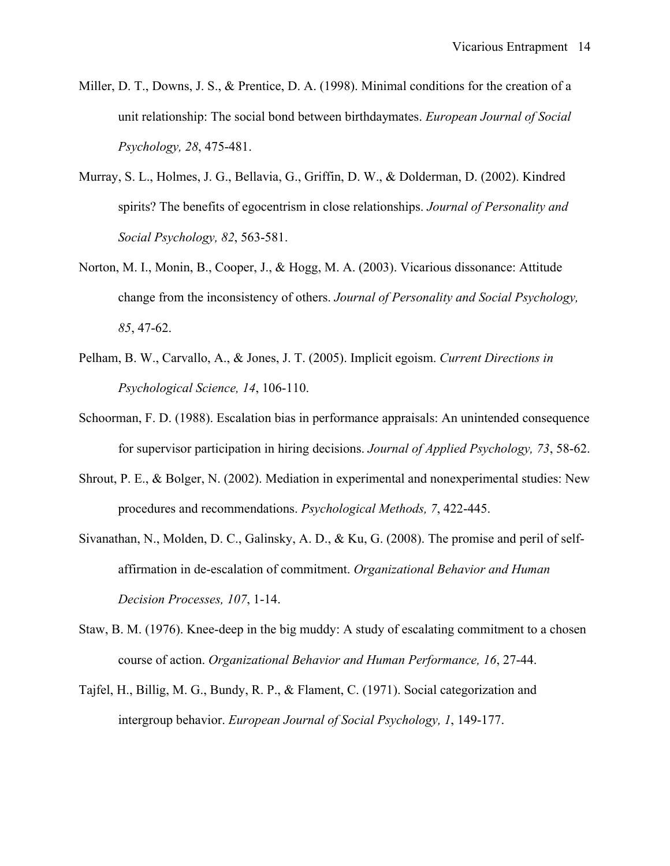- Miller, D. T., Downs, J. S., & Prentice, D. A. (1998). Minimal conditions for the creation of a unit relationship: The social bond between birthdaymates. *European Journal of Social Psychology, 28*, 475-481.
- Murray, S. L., Holmes, J. G., Bellavia, G., Griffin, D. W., & Dolderman, D. (2002). Kindred spirits? The benefits of egocentrism in close relationships. *Journal of Personality and Social Psychology, 82*, 563-581.
- Norton, M. I., Monin, B., Cooper, J., & Hogg, M. A. (2003). Vicarious dissonance: Attitude change from the inconsistency of others. *Journal of Personality and Social Psychology, 85*, 47-62.
- Pelham, B. W., Carvallo, A., & Jones, J. T. (2005). Implicit egoism. *Current Directions in Psychological Science, 14*, 106-110.
- Schoorman, F. D. (1988). Escalation bias in performance appraisals: An unintended consequence for supervisor participation in hiring decisions. *Journal of Applied Psychology, 73*, 58-62.
- Shrout, P. E., & Bolger, N. (2002). Mediation in experimental and nonexperimental studies: New procedures and recommendations. *Psychological Methods, 7*, 422-445.
- Sivanathan, N., Molden, D. C., Galinsky, A. D., & Ku, G. (2008). The promise and peril of selfaffirmation in de-escalation of commitment. *Organizational Behavior and Human Decision Processes, 107*, 1-14.
- Staw, B. M. (1976). Knee-deep in the big muddy: A study of escalating commitment to a chosen course of action. *Organizational Behavior and Human Performance, 16*, 27-44.
- Tajfel, H., Billig, M. G., Bundy, R. P., & Flament, C. (1971). Social categorization and intergroup behavior. *European Journal of Social Psychology, 1*, 149-177.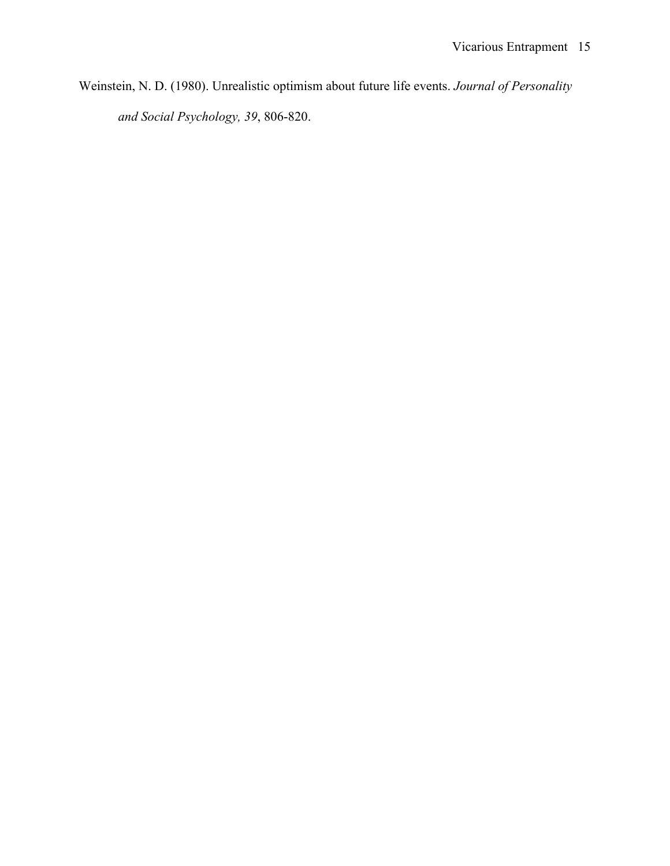Weinstein, N. D. (1980). Unrealistic optimism about future life events. *Journal of Personality and Social Psychology, 39*, 806-820.